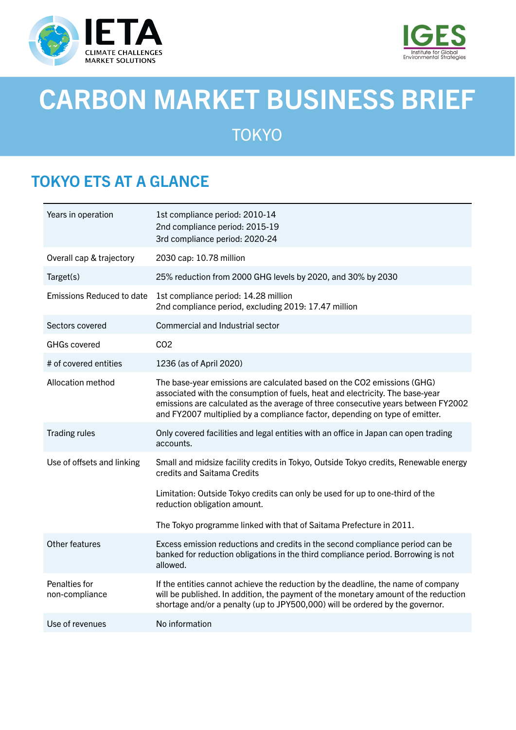



# CARBON MARKET BUSINESS BRIEF

**TOKYO** 

## TOKYO ETS AT A GLANCE

| Years in operation               | 1st compliance period: 2010-14<br>2nd compliance period: 2015-19<br>3rd compliance period: 2020-24                                                                                                                                                                                                                           |
|----------------------------------|------------------------------------------------------------------------------------------------------------------------------------------------------------------------------------------------------------------------------------------------------------------------------------------------------------------------------|
| Overall cap & trajectory         | 2030 cap: 10.78 million                                                                                                                                                                                                                                                                                                      |
| Target(s)                        | 25% reduction from 2000 GHG levels by 2020, and 30% by 2030                                                                                                                                                                                                                                                                  |
| <b>Emissions Reduced to date</b> | 1st compliance period: 14.28 million<br>2nd compliance period, excluding 2019: 17.47 million                                                                                                                                                                                                                                 |
| Sectors covered                  | Commercial and Industrial sector                                                                                                                                                                                                                                                                                             |
| <b>GHGs covered</b>              | CO <sub>2</sub>                                                                                                                                                                                                                                                                                                              |
| # of covered entities            | 1236 (as of April 2020)                                                                                                                                                                                                                                                                                                      |
| Allocation method                | The base-year emissions are calculated based on the CO2 emissions (GHG)<br>associated with the consumption of fuels, heat and electricity. The base-year<br>emissions are calculated as the average of three consecutive years between FY2002<br>and FY2007 multiplied by a compliance factor, depending on type of emitter. |
| <b>Trading rules</b>             | Only covered facilities and legal entities with an office in Japan can open trading<br>accounts.                                                                                                                                                                                                                             |
| Use of offsets and linking       | Small and midsize facility credits in Tokyo, Outside Tokyo credits, Renewable energy<br>credits and Saitama Credits                                                                                                                                                                                                          |
|                                  | Limitation: Outside Tokyo credits can only be used for up to one-third of the<br>reduction obligation amount.                                                                                                                                                                                                                |
|                                  | The Tokyo programme linked with that of Saitama Prefecture in 2011.                                                                                                                                                                                                                                                          |
| Other features                   | Excess emission reductions and credits in the second compliance period can be<br>banked for reduction obligations in the third compliance period. Borrowing is not<br>allowed.                                                                                                                                               |
| Penalties for<br>non-compliance  | If the entities cannot achieve the reduction by the deadline, the name of company<br>will be published. In addition, the payment of the monetary amount of the reduction<br>shortage and/or a penalty (up to JPY500,000) will be ordered by the governor.                                                                    |
| Use of revenues                  | No information                                                                                                                                                                                                                                                                                                               |